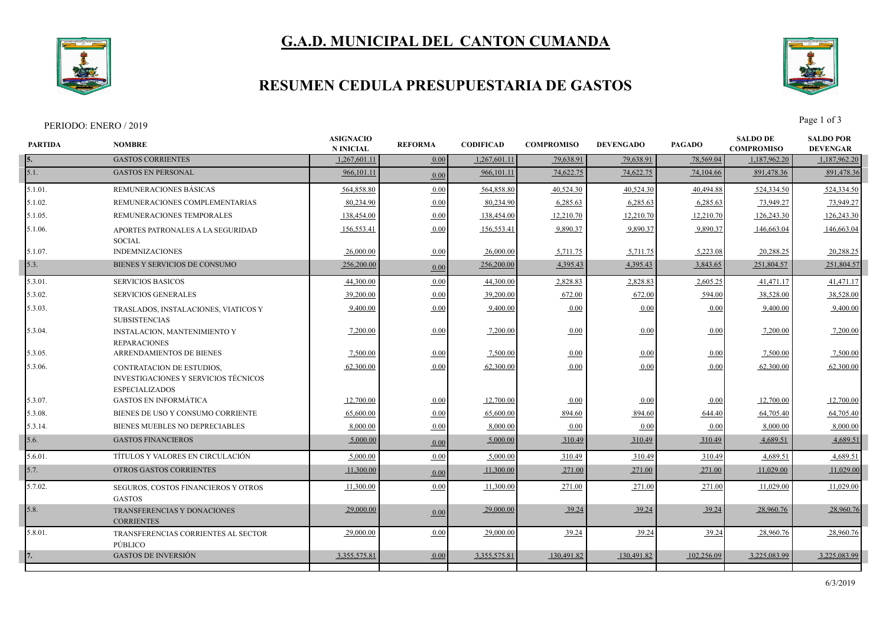# **G.A.D. MUNICIPAL DEL CANTON CUMANDA**

# **RESUMEN CEDULA PRESUPUESTARIA DE GASTOS**

#### PERIODO: ENERO / 2019 Page 1 of 3

| <b>PARTIDA</b> | <b>NOMBRE</b>                                                                                     | <b>ASIGNACIO</b><br><b>N INICIAL</b> | <b>REFORMA</b> | <b>CODIFICAD</b> | <b>COMPROMISO</b> | <b>DEVENGADO</b> | <b>PAGADO</b> | <b>SALDO DE</b><br><b>COMPROMISO</b> | <b>SALDO POR</b><br><b>DEVENGAR</b> |
|----------------|---------------------------------------------------------------------------------------------------|--------------------------------------|----------------|------------------|-------------------|------------------|---------------|--------------------------------------|-------------------------------------|
| 5.             | <b>GASTOS CORRIENTES</b>                                                                          | 1,267,601.11                         | 0.00           | 1,267,601.1      | 79,638.91         | 79,638.91        | 78,569.04     | 1,187,962.20                         | 1,187,962.20                        |
| 5.1.           | <b>GASTOS EN PERSONAL</b>                                                                         | 966,101.11                           | 0.00           | 966,101.11       | 74,622.75         | 74,622.75        | 74,104.66     | 891,478.36                           | 891,478.36                          |
| 5.1.01.        | REMUNERACIONES BÁSICAS                                                                            | 564,858.80                           | 0.00           | 564,858.80       | 40,524.30         | 40,524.30        | 40,494.88     | 524,334.50                           | 524,334.50                          |
| 5.1.02.        | REMUNERACIONES COMPLEMENTARIAS                                                                    | 80,234.90                            | 0.00           | 80,234.90        | 6,285.63          | 6,285.63         | 6,285.63      | 73,949.27                            | 73,949.27                           |
| 5.1.05.        | REMUNERACIONES TEMPORALES                                                                         | 138,454.00                           | 0.00           | 138,454.00       | 12,210.70         | 12,210.70        | 12,210.70     | 126,243.30                           | 126,243.30                          |
| 5.1.06.        | APORTES PATRONALES A LA SEGURIDAD<br><b>SOCIAL</b>                                                | 156,553.41                           | 0.00           | 156,553.4        | 9,890.37          | 9,890.37         | 9,890.37      | 146,663.04                           | 146,663.04                          |
| 5.1.07.        | <b>INDEMNIZACIONES</b>                                                                            | 26,000.00                            | 0.00           | 26,000.00        | 5,711.75          | 5,711.75         | 5,223.08      | 20,288.25                            | 20,288.25                           |
| 5.3.           | BIENES Y SERVICIOS DE CONSUMO                                                                     | 256,200.00                           | 0.00           | 256,200.00       | 4,395.43          | 4,395.43         | 3,843.65      | 251,804.57                           | 251,804.57                          |
| 5.3.01.        | <b>SERVICIOS BASICOS</b>                                                                          | 44,300.00                            | 0.00           | 44,300.00        | 2,828.83          | 2,828.83         | 2,605.25      | 41,471.17                            | 41,471.17                           |
| 5.3.02.        | <b>SERVICIOS GENERALES</b>                                                                        | 39,200.00                            | 0.00           | 39,200.00        | 672.00            | 672.00           | 594.00        | 38,528.00                            | 38,528.00                           |
| 5.3.03.        | TRASLADOS, INSTALACIONES, VIATICOS Y<br><b>SUBSISTENCIAS</b>                                      | 9,400.00                             | 0.00           | 9,400.00         | 0.00              | 0.00             | 0.00          | 9,400.00                             | 9,400.00                            |
| 5.3.04.        | INSTALACION, MANTENIMIENTO Y<br><b>REPARACIONES</b>                                               | 7,200.00                             | 0.00           | 7,200.00         | 0.00              | 0.00             | 0.00          | 7,200.00                             | 7,200.00                            |
| 5.3.05.        | ARRENDAMIENTOS DE BIENES                                                                          | 7,500.00                             | 0.00           | 7,500.00         | 0.00              | 0.00             | 0.00          | 7,500.00                             | 7,500.00                            |
| 5.3.06.        | CONTRATACION DE ESTUDIOS,<br><b>INVESTIGACIONES Y SERVICIOS TÉCNICOS</b><br><b>ESPECIALIZADOS</b> | 62,300.00                            | 0.00           | 62,300.00        | 0.00              | 0.00             | 0.00          | 62,300.00                            | 62,300.00                           |
| 5.3.07.        | <b>GASTOS EN INFORMÁTICA</b>                                                                      | 12,700.00                            | 0.00           | 12,700.00        | 0.00              | 0.00             | 0.00          | 12,700.00                            | 12,700.00                           |
| 5.3.08.        | BIENES DE USO Y CONSUMO CORRIENTE                                                                 | 65,600.00                            | 0.00           | 65,600.00        | 894.60            | 894.60           | 644.40        | 64,705.40                            | 64,705.40                           |
| 5.3.14.        | BIENES MUEBLES NO DEPRECIABLES                                                                    | 8,000.00                             | 0.00           | 8,000.00         | 0.00              | 0.00             | 0.00          | 8,000.00                             | 8,000.00                            |
| 5.6.           | <b>GASTOS FINANCIEROS</b>                                                                         | 5,000.00                             | 0.00           | 5,000.00         | 310.49            | 310.49           | 310.49        | 4,689.51                             | 4,689.51                            |
| 5.6.01.        | TÍTULOS Y VALORES EN CIRCULACIÓN                                                                  | 5,000.00                             | 0.00           | 5,000.00         | 310.49            | 310.49           | 310.49        | 4,689.51                             | 4,689.51                            |
| 5.7.           | OTROS GASTOS CORRIENTES                                                                           | 11,300.00                            | 0.00           | 11,300.00        | 271.00            | 271.00           | 271.00        | 11,029.00                            | 11,029.00                           |
| 5.7.02.        | SEGUROS, COSTOS FINANCIEROS Y OTROS<br><b>GASTOS</b>                                              | 11,300.00                            | 0.00           | 11,300.00        | 271.00            | 271.00           | 271.00        | 11,029.00                            | 11,029.00                           |
| 5.8.           | TRANSFERENCIAS Y DONACIONES<br><b>CORRIENTES</b>                                                  | 29,000.00                            | 0.00           | 29,000.00        | 39.24             | 39.24            | 39.24         | 28,960.76                            | 28,960.76                           |
| 5.8.01.        | TRANSFERENCIAS CORRIENTES AL SECTOR<br>PÚBLICO                                                    | 29,000.00                            | 0.00           | 29,000.00        | 39.24             | 39.24            | 39.24         | 28,960.76                            | 28,960.76                           |
|                | <b>GASTOS DE INVERSIÓN</b>                                                                        | 3,355,575.81                         | 0.00           | 3,355,575.81     | 130,491.82        | 130,491.82       | 102,256.09    | 3,225,083.99                         | 3,225,083.99                        |
|                |                                                                                                   |                                      |                |                  |                   |                  |               |                                      |                                     |

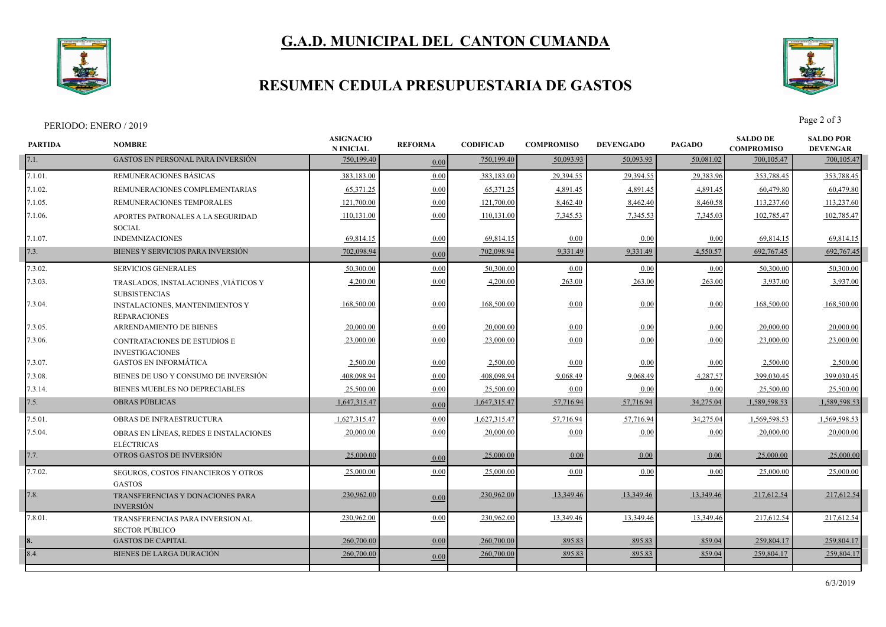# **G.A.D. MUNICIPAL DEL CANTON CUMANDA**



### **RESUMEN CEDULA PRESUPUESTARIA DE GASTOS**

### PERIODO: ENERO / 2019 Page 2 of 3